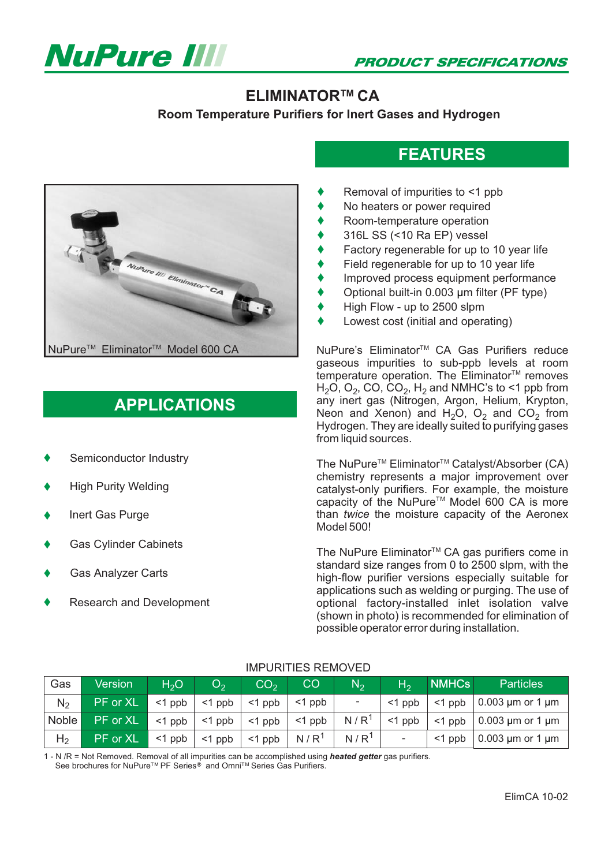



### **ELIMINATOR™ CA**

**Room Temperature Purifiers for Inert Gases and Hydrogen**



# **APPLICATIONS**

- $\blacklozenge$ Semiconductor Industry
- $\blacklozenge$ High Purity Welding
- $\blacklozenge$ Inert Gas Purge
- $\blacklozenge$ Gas Cylinder Cabinets
- $\blacklozenge$ Gas Analyzer Carts
- $\blacklozenge$ Research and Development

## **FEATURES**

- $\blacklozenge$ Removal of impurities to <1 ppb
- $\blacklozenge$ No heaters or power required
- $\blacklozenge$ Room-temperature operation
- $\blacklozenge$ 316L SS (<10 Ra EP) vessel
- $\blacklozenge$ Factory regenerable for up to 10 year life
- $\blacklozenge$ Field regenerable for up to 10 year life
- $\blacklozenge$ Improved process equipment performance
- $\blacklozenge$ Optional built-in 0.003 µm filter (PF type)
- $\blacklozenge$ High Flow - up to 2500 slpm
- $\blacklozenge$ Lowest cost (initial and operating)

NuPure's Eliminator<sup>™</sup> CA Gas Purifiers reduce gaseous impurities to sub-ppb levels at room  $\check{\mathbf{c}}$  contraction operation. The Eliminator<sup>TM</sup> removes  $\mathsf{H}_2\mathsf{O}, \mathsf{O}_2$ , CO, CO<sub>2</sub>,  $\mathsf{H}_2$  and NMHC's to <1 ppb from any inert gas (Nitrogen, Argon, Helium, Krypton, Neon and Xenon) and  $H_2O$ ,  $O_2$  and  $CO_2$  from Hydrogen. They are ideally suited to purifying gases from liquid sources.

The NuPure<sup>™</sup> Eliminator<sup>™</sup> Catalyst/Absorber (CA) chemistry represents a major improvement over catalyst-only purifiers. For example, the moisture capacity of the NuPure<sup>™</sup> Model 600 CA is more than twice the moisture capacity of the Aeronex Model 500!

The NuPure Eliminator<sup>™</sup> CA gas purifiers come in standard size ranges from 0 to 2500 slpm, with the high-flow purifier versions especially suitable for applications such as welding or purging. The use of optional factory-installed inlet isolation valve (shown in photo) is recommended for elimination of possible operator error during installation.

| Gas            | Version  | H <sub>2</sub> O | $\mathbf{O}_{2}$ | CO <sub>2</sub> | CO               | $N_{2}$                  | $H_2$     | <b>NMHCs</b> | <b>Particles</b>           |
|----------------|----------|------------------|------------------|-----------------|------------------|--------------------------|-----------|--------------|----------------------------|
| N <sub>2</sub> | PF or XL | $<$ 1 ppb        | $<$ 1 ppb        | $<$ 1 ppb       | $<$ 1 ppb        | $\overline{\phantom{a}}$ | $<$ 1 ppb | $<$ 1 ppb    | $0.003 \mu m$ or 1 $\mu m$ |
| Noble          | PF or XL | $<$ 1 ppb        | $<$ 1 ppb        | $<$ 1 ppb       | $<$ 1 ppb        | N/R <sup>1</sup>         | $<$ 1 ppb | $<$ 1 ppb    | $0.003 \mu m$ or 1 $\mu m$ |
| H <sub>2</sub> | PF or XL | $<$ 1 ppb        | $<$ 1 ppb        | $<$ 1 ppb       | N/R <sup>1</sup> | N/R <sup>1</sup>         |           | $<$ 1 ppb    | $0.003 \mu m$ or 1 $\mu m$ |

#### IMPURITIES REMOVED

1 - N /R = Not Removed. Removal of all impurities can be accomplished using **heated getter** gas purifiers.<br>See brochures for NuPure IM PE Series® and OmpiIM Series Gas Purifiers See brochures for NuPure<sup>™</sup> PF Series<sup>®</sup> and Omni<sup>™</sup> Series Gas Purifiers.